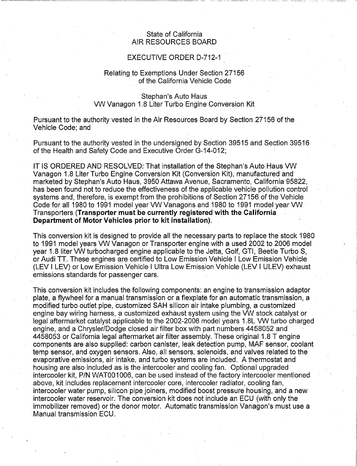## State of California AIR RESOURCES BOARD

## EXECUTIVE ORDER D-712-1

## Relating to Exemptions Under Section 27156 of the California Vehicle Code

## Stephan's Auto Haus VW Vanagon 1.8 Liter Turbo Engine Conversion Kit

Pursuant to the authority vested in the Air Resources Board by Section 27156 of the Vehicle Code; and

Pursuant to the authority vested in the undersigned by Section 39515 and Section 39516 of the Health and Safety Code and Executive Order G-14-012;

IT IS ORDERED AND RESOLVED: That installation of the Stephan's Auto Haus VW Vanagon 1.8 Liter Turbo Engine Conversion Kit (Conversion Kit), manufactured and marketed by Stephan's Auto Haus, 3950 Attawa Avenue, Sacramento, California 95822, has been found not to reduce the effectiveness of the applicable vehicle pollution control systems and, therefore, is exempt from the prohibitions of Section 27156 of the Vehicle Code for all 1980 to 1991 model year VW Vanagons and 1980 to 1991 model year VW Transporters (Transporter must be currently registered with the California Department of Motor Vehicles prior to kit installation).

This conversion kit is designed to provide all the necessary parts to replace the stock 1980 to 1991 model years VW Vanagon or Transporter engine with a used 2002 to 2006 model year 1.8 liter VW turbocharged engine applicable to the Jetta, Golf, GTI, Beetle Turbo S, or Audi TT. These engines are certified to Low Emission Vehicle I Low Emission Vehicle (LEV I LEV) or Low Emission Vehicle I Ultra Low Emission Vehicle (LEV I ULEV) exhaust emissions standards for passenger cars.

This conversion kit includes the following components: an engine to transmission adaptor plate, a flywheel for a manual transmission or a flexplate for an automatic transmission, a modified turbo outlet pipe, customized SAH silicon air intake plumbing, a customized engine bay wiring harness, a customized exhaust system using the VW stock catalyst or legal aftermarket catalyst applicable to the 2002-2006 model years 1.8L VW turbo charged engine, and a Chrysler/Dodge closed air filter box with part numbers 4458052 and 4458053 or California legal aftermarket air filter assembly. These original. 1.8 T engine components are also supplied: carbon canister, leak detection pump, MAF sensor, coolant temp sensor, and oxygen sensors. Also, all sensors, solenoids, and valves related to the evaporative emissions, air intake, and turbo systems are included. A thermostat and housing are also included as is the intercooler and cooling fan. Optional upgraded intercooler kit, P/N WAT001006, can be used instead of the factory intercooler mentioned above, kit includes replacement intercooler core, intercooler radiator, cooling fan, intercooler water pump, silicon pipe joiners, modified boost pressure housing, and a new intercooler water reservoir. The conversion kit does not include an ECU (with only the mmobilizer removed) or the donor motor. Automatic transmission Vanagon's must use a Manual transmission ECU.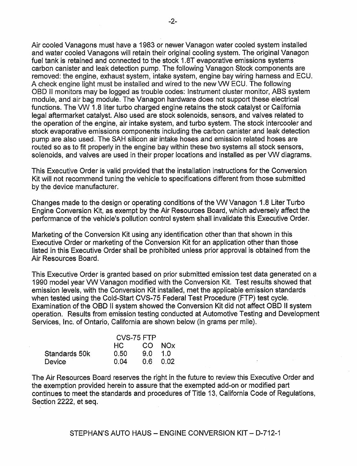Air cooled Vanagons must have a 1983 or newer Vanagon water cooled system installed and water cooled Vanagons will retain their original cooling system. The original Vanagon fuel tank is retained and connected to the stock 1.8T evaporative emissions systems carbon canister and leak detection pump. The following Vanagon Stock components are removed: the engine, exhaust system, intake system, engine bay wiring harness and ECU. A check engine light must be installed and wired to the new VW ECU. The following OBD II monitors may be logged as trouble codes: Instrument cluster monitor, ABS system module, and air bag module. The Vanagon hardware does not support these electrical functions. The VW 1.8 liter turbo charged engine retains the stock catalyst or California legal aftermarket catalyst. Also used are stock solenoids, sensors, and valves related to the operation of the engine, air intake system, and turbo system. The stock intercooler and stock evaporative emissions components including the carbon canister and leak detection pump are also used. The SAH silicon air intake hoses and emission related hoses are routed so as to fit properly in the engine bay within these two systems all stock sensors, solenoids, and valves are used in their proper locations and installed as per VW diagrams.

This Executive Order is valid provided that the installation instructions for the Conversion Kit will not recommend tuning the vehicle to specifications different from those submitted by the device manufacturer.

Changes made to the design or operating conditions of the VW Vanagon 1.8 Liter Turbo Engine Conversion Kit, as exempt by the Air Resources Board, which adversely affect the performance of the vehicle's pollution control system shall invalidate this Executive Order.

Marketing of the Conversion Kit using any identification other than that shown in this Executive Order or marketing of the Conversion Kit for an application other than those listed in this Executive Order shall be prohibited unless prior approval is obtained from the Air Resources Board.

This Executive Order is granted based on prior submitted emission test data generated on a 1990 model year VW Vanagon modified with the Conversion Kit. Test results showed that emission levels, with the Conversion Kit installed, met the applicable emission standards when tested using the Cold-Start CVS-75 Federal Test Procedure (FTP) test cycle. Examination of the OBD II system showed the Conversion Kit did not affect OBD II system operation. Results from emission testing conducted at Automotive Testing and Development Services, Inc. of Ontario, California are shown below (in grams per mile).

|               | CVS-75 FTP |      |               |
|---------------|------------|------|---------------|
|               | HC.        |      | CO NOx        |
| Standards 50k | 0.50       | 90   | $-1.0$        |
| <b>Device</b> | በ በ4       | 0.6. | _ດ ດ <i>ວ</i> |

The Air Resources Board reserves the right in the future to review this Executive Order and the exemption provided herein to assure that the exempted add-on or modified part continues to meet the standards and procedures of Title 13, California Code of Regulations, Section 2222, et seq.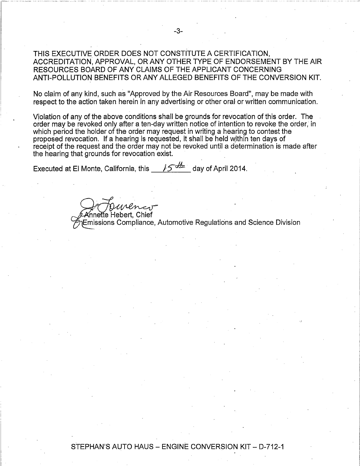THIS EXECUTIVE ORDER DOES NOT CONSTITUTE A CERTIFICATION, ACCREDITATION, APPROVAL, OR ANY OTHER TYPE OF ENDORSEMENT BY THE AIR RESOURCES BOARD OF ANY CLAIMS OF THE APPLICANT CONCERNING ANTI-POLLUTION BENEFITS OR ANY ALLEGED BENEFITS OF THE CONVERSION KIT.

No claim of any kind, such as "Approved by the Air Resources Board", may be made with respect to the action taken herein in any advertising or other oral or written communication.

Violation of any of the above conditions shall be grounds for revocation of this order. The order may be revoked only after a ten-day written notice of intention to revoke the order, in which period the holder of the order may request in writing a hearing to contest the proposed revocation. If a hearing is requested, it shall be held within ten days of receipt of the request and the order may not be revoked until a determination is made after the hearing that grounds for revocation exist.

Executed at El Monte, California, this  $\frac{15^{d}}{2}$  day of April 2014.

Je Towen Annette Hebert, Chief Emissions Compliance, Automotive Regulations and Science Division

STEPHAN'S AUTO HAUS - ENGINE CONVERSION KIT - D-712-1